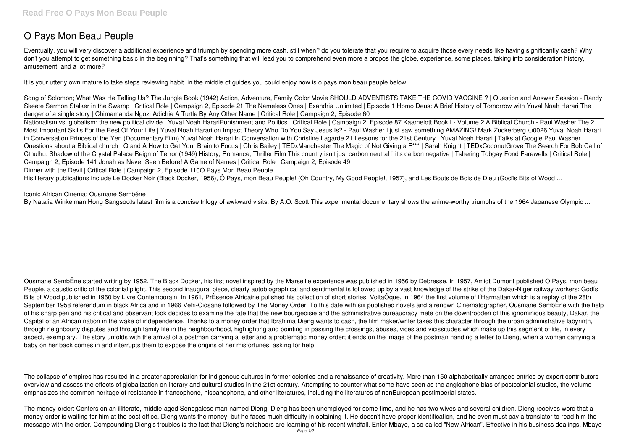## **O Pays Mon Beau Peuple**

Eventually, you will very discover a additional experience and triumph by spending more cash. still when? do you tolerate that you require to acquire those every needs like having significantly cash? Why don't you attempt to get something basic in the beginning? That's something that will lead you to comprehend even more a propos the globe, experience, some places, taking into consideration history, amusement, and a lot more?

It is your utterly own mature to take steps reviewing habit. in the middle of guides you could enjoy now is **o pays mon beau peuple** below.

Song of Solomon; What Was He Telling Us? <del>The Jungle Book (1942) Action, Adventure, Family Color Movie</del> SHOULD ADVENTISTS TAKE THE COVID VACCINE ? | Question and Answer Session - Randy Skeete Sermon Stalker in the Swamp | Critical Role | Campaign 2, Episode 21 The Nameless Ones | Exandria Unlimited | Episode 1 Homo Deus: A Brief History of Tomorrow with Yuval Noah Harari The danger of a single story | Chimamanda Ngozi Adichie A Turtle By Any Other Name | Critical Role | Campaign 2, Episode 60

Nationalism vs. globalism: the new political divide | Yuval Noah HarariPunishment and Politics | Critical Role | Campaign 2, Episode 87 **Kaamelott Book I - Volume 2** A Biblical Church - Paul Washer The 2 Most Important Skills For the Rest Of Your Life | Yuval Noah Harari on Impact Theory Who Do You Say Jesus Is? - Paul Washer I just saw something AMAZING! Mark Zuckerberg \u0026 Yuval Noah Harari in Conversation Princes of the Yen (Documentary Film) Yuval Noah Harari In Conversation with Christine Lagarde 21 Lessons for the 21st Century | Yuval Noah Harari | Talks at Google Paul Washer | Questions about a Biblical church | Q and A How to Get Your Brain to Focus | Chris Bailey | TEDxManchester The Magic of Not Giving a F\*\*\* | Sarah Knight | TEDxCoconutGrove The Search For Bob Call of Cthulhu: Shadow of the Crystal Palace Reign of Terror (1949) History, Romance, Thriller Film This country isn't just carbon neutral — it's carbon negative | Tshering Tobgay *Fond Farewells | Critical Role | Campaign 2, Episode 141 Jonah as Never Seen Before!* A Game of Names | Critical Role | Campaign 2, Episode 49

Dinner with the Devil | Critical Role | Campaign 2, Episode 110<del>O Pays Mon Beau Peuple</del>

His literary publications include Le Docker Noir (Black Docker, 1956), Ô Pays, mon Beau Peuple! (Oh Country, My Good People!, 1957), and Les Bouts de Bois de Dieu (Godlls Bits of Wood ...

The collapse of empires has resulted in a greater appreciation for indigenous cultures in former colonies and a renaissance of creativity. More than 150 alphabetically arranged entries by expert contributors overview and assess the effects of globalization on literary and cultural studies in the 21st century. Attempting to counter what some have seen as the anglophone bias of postcolonial studies, the volume emphasizes the common heritage of resistance in francophone, hispanophone, and other literatures, including the literatures of nonEuropean postimperial states.

## Iconic African Cinema: Ousmane Sembéne

By Natalia Winkelman Hong Sangsoolls latest film is a concise trilogy of awkward visits. By A.O. Scott This experimental documentary shows the anime-worthy triumphs of the 1964 Japanese Olympic ...

Ousmane SembËne started writing by 1952. The Black Docker, his first novel inspired by the Marseille experience was published in 1956 by Debresse. In 1957, Amiot Dumont published O Pays, mon beau Peuple, a caustic critic of the colonial plight. This second inaugural piece, clearly autobiographical and sentimental is followed up by a vast knowledge of the strike of the Dakar-Niger railway workers: Godís Bits of Wood published in 1960 by Livre Contemporain. In 1961, PrÈsence Africaine pulished his collection of short stories, VoltaÔque, in 1964 the first volume of líHarmattan which is a replay of the 28th September 1958 referendum in black Africa and in 1966 Vehi-Ciosane followed by The Money Order. To this date with six published novels and a renown Cinematographer, Ousmane SembËne with the help of his sharp pen and his critical and observant look decides to examine the fate that the new bourgeoisie and the administrative bureaucracy mete on the downtrodden of this ignominious beauty, Dakar, the Capital of an African nation in the wake of independence. Thanks to a money order that Ibrahima Dieng wants to cash, the film maker/writer takes this character through the urban administrative labyrinth, through neighbourly disputes and through family life in the neighbourhood, highlighting and pointing in passing the crossings, abuses, vices and vicissitudes which make up this segment of life, in every aspect, exemplary. The story unfolds with the arrival of a postman carrying a letter and a problematic money order; it ends on the image of the postman handing a letter to Dieng, when a woman carrying a baby on her back comes in and interrupts them to expose the origins of her misfortunes, asking for help.

The money-order: Centers on an illiterate, middle-aged Senegalese man named Dieng. Dieng has been unemployed for some time, and he has two wives and several children. Dieng receives word that a money-order is waiting for him at the post office. Dieng wants the money, but he faces much difficulty in obtaining it. He doesn't have proper identification, and he even must pay a translator to read him the message with the order. Compounding Dieng's troubles is the fact that Dieng's neighbors are learning of his recent windfall. Enter Mbaye, a so-called "New African". Effective in his business dealings, Mbaye